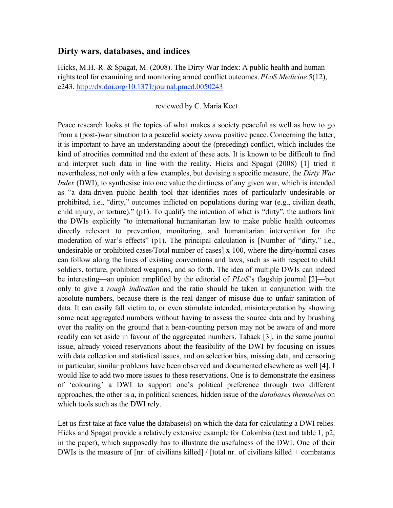## **Dirty wars, databases, and indices**

Hicks, M.H.-R. & Spagat, M. (2008). The Dirty War Index: A public health and human rights tool for examining and monitoring armed conflict outcomes. *PLoS Medicine* 5(12), e243. http://dx.doi.org/10.1371/journal.pmed.0050243

## reviewed by C. Maria Keet

Peace research looks at the topics of what makes a society peaceful as well as how to go from a (post-)war situation to a peaceful society *sensu* positive peace. Concerning the latter, it is important to have an understanding about the (preceding) conflict, which includes the kind of atrocities committed and the extent of these acts. It is known to be difficult to find and interpret such data in line with the reality. Hicks and Spagat (2008) [1] tried it nevertheless, not only with a few examples, but devising a specific measure, the *Dirty War Index* (DWI), to synthesise into one value the dirtiness of any given war, which is intended as "a data-driven public health tool that identifies rates of particularly undesirable or prohibited, i.e., "dirty," outcomes inflicted on populations during war (e.g., civilian death, child injury, or torture)." (p1). To qualify the intention of what is "dirty", the authors link the DWIs explicitly "to international humanitarian law to make public health outcomes directly relevant to prevention, monitoring, and humanitarian intervention for the moderation of war's effects" (p1). The principal calculation is [Number of "dirty," i.e., undesirable or prohibited cases/Total number of cases] x 100, where the dirty/normal cases can follow along the lines of existing conventions and laws, such as with respect to child soldiers, torture, prohibited weapons, and so forth. The idea of multiple DWIs can indeed be interesting—an opinion amplified by the editorial of *PLoS*'s flagship journal [2]—but only to give a *rough indication* and the ratio should be taken in conjunction with the absolute numbers, because there is the real danger of misuse due to unfair sanitation of data. It can easily fall victim to, or even stimulate intended, misinterpretation by showing some neat aggregated numbers without having to assess the source data and by brushing over the reality on the ground that a bean-counting person may not be aware of and more readily can set aside in favour of the aggregated numbers. Taback [3], in the same journal issue, already voiced reservations about the feasibility of the DWI by focusing on issues with data collection and statistical issues, and on selection bias, missing data, and censoring in particular; similar problems have been observed and documented elsewhere as well [4]. I would like to add two more issues to these reservations. One is to demonstrate the easiness of 'colouring' a DWI to support one's political preference through two different approaches, the other is a, in political sciences, hidden issue of the *databases themselves* on which tools such as the DWI rely.

Let us first take at face value the database(s) on which the data for calculating a DWI relies. Hicks and Spagat provide a relatively extensive example for Colombia (text and table 1, p2, in the paper), which supposedly has to illustrate the usefulness of the DWI. One of their DWIs is the measure of [nr. of civilians killed] / [total nr. of civilians killed + combatants]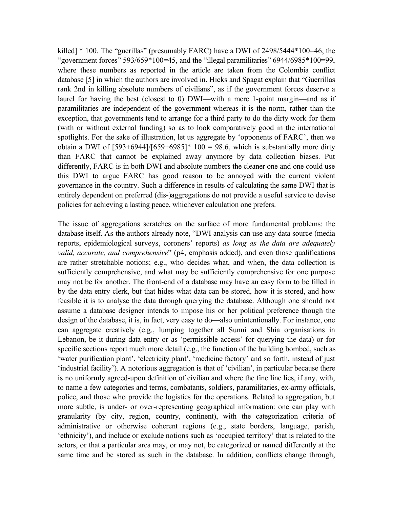killed] \* 100. The "guerillas" (presumably FARC) have a DWI of 2498/5444\*100=46, the "government forces"  $593/659*100=45$ , and the "illegal paramilitaries"  $6944/6985*100=99$ , where these numbers as reported in the article are taken from the Colombia conflict database [5] in which the authors are involved in. Hicks and Spagat explain that "Guerrillas rank 2nd in killing absolute numbers of civilians", as if the government forces deserve a laurel for having the best (closest to 0) DWI—with a mere 1-point margin—and as if paramilitaries are independent of the government whereas it is the norm, rather than the exception, that governments tend to arrange for a third party to do the dirty work for them (with or without external funding) so as to look comparatively good in the international spotlights. For the sake of illustration, let us aggregate by 'opponents of FARC', then we obtain a DWI of  $[593+6944]/[659+6985]^*$  100 = 98.6, which is substantially more dirty than FARC that cannot be explained away anymore by data collection biases. Put differently, FARC is in both DWI and absolute numbers the cleaner one and one could use this DWI to argue FARC has good reason to be annoyed with the current violent governance in the country. Such a difference in results of calculating the same DWI that is entirely dependent on preferred (dis-)aggregations do not provide a useful service to devise policies for achieving a lasting peace, whichever calculation one prefers.

The issue of aggregations scratches on the surface of more fundamental problems: the database itself. As the authors already note, "DWI analysis can use any data source (media reports, epidemiological surveys, coroners' reports) *as long as the data are adequately valid, accurate, and comprehensive*" (p4, emphasis added), and even those qualifications are rather stretchable notions; e.g., who decides what, and when, the data collection is sufficiently comprehensive, and what may be sufficiently comprehensive for one purpose may not be for another. The front-end of a database may have an easy form to be filled in by the data entry clerk, but that hides what data can be stored, how it is stored, and how feasible it is to analyse the data through querying the database. Although one should not assume a database designer intends to impose his or her political preference though the design of the database, it is, in fact, very easy to do—also unintentionally. For instance, one can aggregate creatively (e.g., lumping together all Sunni and Shia organisations in Lebanon, be it during data entry or as 'permissible access' for querying the data) or for specific sections report much more detail (e.g., the function of the building bombed, such as 'water purification plant', 'electricity plant', 'medicine factory' and so forth, instead of just 'industrial facility'). A notorious aggregation is that of 'civilian', in particular because there is no uniformly agreed-upon definition of civilian and where the fine line lies, if any, with, to name a few categories and terms, combatants, soldiers, paramilitaries, ex-army officials, police, and those who provide the logistics for the operations. Related to aggregation, but more subtle, is under- or over-representing geographical information: one can play with granularity (by city, region, country, continent), with the categorization criteria of administrative or otherwise coherent regions (e.g., state borders, language, parish, 'ethnicity'), and include or exclude notions such as 'occupied territory' that is related to the actors, or that a particular area may, or may not, be categorized or named differently at the same time and be stored as such in the database. In addition, conflicts change through,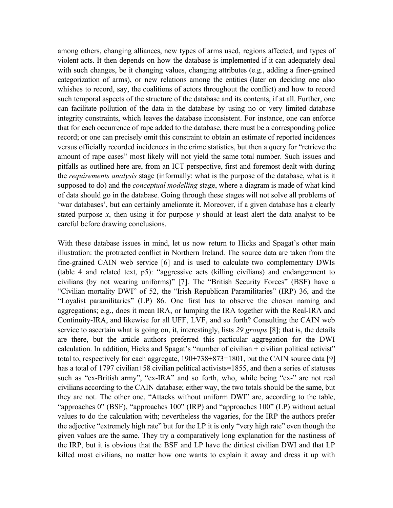among others, changing alliances, new types of arms used, regions affected, and types of violent acts. It then depends on how the database is implemented if it can adequately deal with such changes, be it changing values, changing attributes (e.g., adding a finer-grained categorization of arms), or new relations among the entities (later on deciding one also whishes to record, say, the coalitions of actors throughout the conflict) and how to record such temporal aspects of the structure of the database and its contents, if at all. Further, one can facilitate pollution of the data in the database by using no or very limited database integrity constraints, which leaves the database inconsistent. For instance, one can enforce that for each occurrence of rape added to the database, there must be a corresponding police record; or one can precisely omit this constraint to obtain an estimate of reported incidences versus officially recorded incidences in the crime statistics, but then a query for "retrieve the amount of rape cases" most likely will not yield the same total number. Such issues and pitfalls as outlined here are, from an ICT perspective, first and foremost dealt with during the *requirements analysis* stage (informally: what is the purpose of the database, what is it supposed to do) and the *conceptual modelling* stage, where a diagram is made of what kind of data should go in the database. Going through these stages will not solve all problems of 'war databases', but can certainly ameliorate it. Moreover, if a given database has a clearly stated purpose  $x$ , then using it for purpose  $y$  should at least alert the data analyst to be careful before drawing conclusions.

With these database issues in mind, let us now return to Hicks and Spagat's other main illustration: the protracted conflict in Northern Ireland. The source data are taken from the fine-grained CAIN web service [6] and is used to calculate two complementary DWIs (table 4 and related text, p5): "aggressive acts (killing civilians) and endangerment to civilians (by not wearing uniforms)" [7]. The "British Security Forces" (BSF) have a "Civilian mortality DWI" of 52, the "Irish Republican Paramilitaries" (IRP) 36, and the "Loyalist paramilitaries" (LP) 86. One first has to observe the chosen naming and aggregations; e.g., does it mean IRA, or lumping the IRA together with the Real-IRA and Continuity-IRA, and likewise for all UFF, LVF, and so forth? Consulting the CAIN web service to ascertain what is going on, it, interestingly, lists *29 groups* [8]; that is, the details are there, but the article authors preferred this particular aggregation for the DWI calculation. In addition, Hicks and Spagat's "number of civilian + civilian political activist" total to, respectively for each aggregate, 190+738+873=1801, but the CAIN source data [9] has a total of 1797 civilian+58 civilian political activists=1855, and then a series of statuses such as "ex-British army", "ex-IRA" and so forth, who, while being "ex-" are not real civilians according to the CAIN database; either way, the two totals should be the same, but they are not. The other one, "Attacks without uniform DWI" are, according to the table, "approaches 0" (BSF), "approaches 100" (IRP) and "approaches 100" (LP) without actual values to do the calculation with; nevertheless the vagaries, for the IRP the authors prefer the adjective "extremely high rate" but for the LP it is only "very high rate" even though the given values are the same. They try a comparatively long explanation for the nastiness of the IRP, but it is obvious that the BSF and LP have the dirtiest civilian DWI and that LP killed most civilians, no matter how one wants to explain it away and dress it up with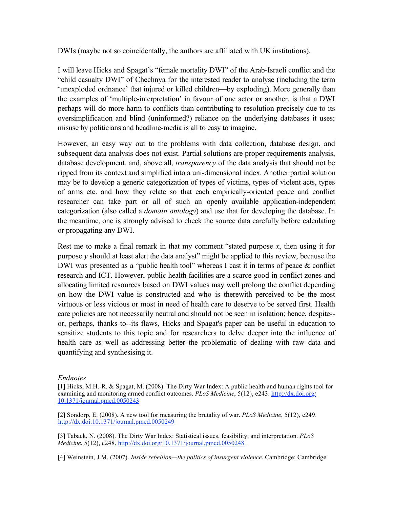DWIs (maybe not so coincidentally, the authors are affiliated with UK institutions).

I will leave Hicks and Spagat's "female mortality DWI" of the Arab-Israeli conflict and the "child casualty DWI" of Chechnya for the interested reader to analyse (including the term 'unexploded ordnance' that injured or killed children—by exploding). More generally than the examples of 'multiple-interpretation' in favour of one actor or another, is that a DWI perhaps will do more harm to conflicts than contributing to resolution precisely due to its oversimplification and blind (uninformed?) reliance on the underlying databases it uses; misuse by politicians and headline-media is all to easy to imagine.

However, an easy way out to the problems with data collection, database design, and subsequent data analysis does not exist. Partial solutions are proper requirements analysis, database development, and, above all, *transparency* of the data analysis that should not be ripped from its context and simplified into a uni-dimensional index. Another partial solution may be to develop a generic categorization of types of victims, types of violent acts, types of arms etc. and how they relate so that each empirically-oriented peace and conflict researcher can take part or all of such an openly available application-independent categorization (also called a *domain ontology*) and use that for developing the database. In the meantime, one is strongly advised to check the source data carefully before calculating or propagating any DWI.

Rest me to make a final remark in that my comment "stated purpose *x*, then using it for purpose  $\nu$  should at least alert the data analyst" might be applied to this review, because the DWI was presented as a "public health tool" whereas I cast it in terms of peace & conflict research and ICT. However, public health facilities are a scarce good in conflict zones and allocating limited resources based on DWI values may well prolong the conflict depending on how the DWI value is constructed and who is therewith perceived to be the most virtuous or less vicious or most in need of health care to deserve to be served first. Health care policies are not necessarily neutral and should not be seen in isolation; hence, despite- or, perhaps, thanks to--its flaws, Hicks and Spagat's paper can be useful in education to sensitize students to this topic and for researchers to delve deeper into the influence of health care as well as addressing better the problematic of dealing with raw data and quantifying and synthesising it.

## *Endnotes*

[2] Sondorp, E. (2008). A new tool for measuring the brutality of war. *PLoS Medicine*, 5(12), e249. http://dx.doi:10.1371/journal.pmed.0050249

[3] Taback, N. (2008). The Dirty War Index: Statistical issues, feasibility, and interpretation. *PLoS Medicine*, 5(12), e248. http://dx.doi.org/10.1371/journal.pmed.0050248

[4] Weinstein, J.M. (2007). *Inside rebellion—the politics of insurgent violence*. Cambridge: Cambridge

<sup>[1]</sup> Hicks, M.H.-R. & Spagat, M. (2008). The Dirty War Index: A public health and human rights tool for examining and monitoring armed conflict outcomes. *PLoS Medicine*, 5(12), e243. http://dx.doi.org/ 10.1371/journal.pmed.0050243